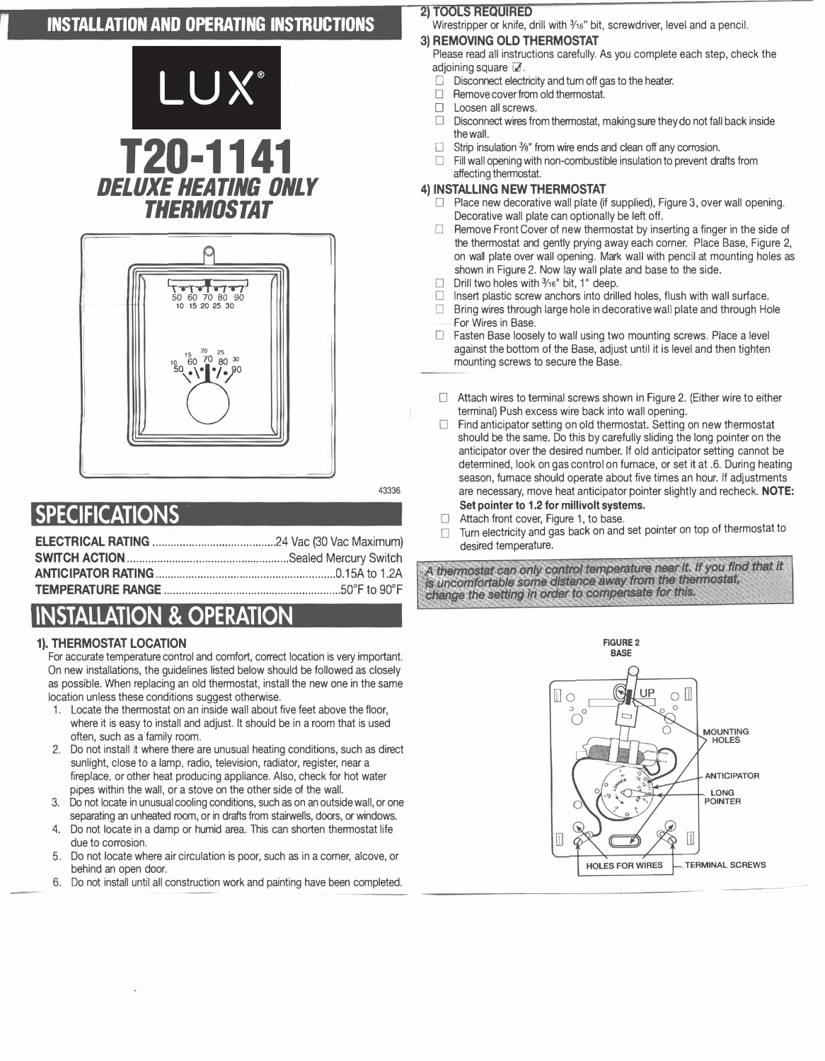## **INSTALLATION AND OPERATING INSTRUCTIONS**





 $A3336$ 

# **SPECIFICATIONS**

# **INSTALLATION & OPERATION**

#### **1). THERMOSTAT LOCATION**

For accurate temperature control and comfort, correct location is very important. On new installations, the quidelines listed below should be followed as closely as possible. When replacing an old thermostat, install the new one in the same location unless these conditions suggest otherwise.

- 1. Locate the thermostat on an inside wall about five feet above the floor, where it is easy to install and adjust. It should be in a room that is used often, such as a family room.
- 2. Do not install it where there are unusual heating conditions, such as direct sunlight, close to a lamp, radio, television, radiator, register, near a fireplace, or other heat producing appliance. Also, check for hot water pipes within the wall, or a stove on the other side of the wall.
- 3. Do not locate in unusual cooling conditions, such as on an outside wall, or one separating an unheated room, or in drafts from stairwells, doors, or windows.
- $\overline{4}$ Do not locate in a damp or humid area. This can shorten thermostat life due to corrosion.
- Do not locate where air circulation is poor, such as in a corner, alcove, or  $5^{\circ}$ behind an open door.
- 6. Do not install until all construction work and painting have been completed.

#### **2) TOOLS REQUIRED**

Wirestripper or knife, drill with 3/16" bit, screwdriver, level and a pencil.

### 3) REMOVING OLD THERMOSTAT

Please read all instructions carefully. As you complete each step, check the adioining square M.

- $\Box$  Disconnect electricity and turn off gas to the heater.
- $\Box$ Remove cover from old thermostat.
- $\Box$ Loosen all screws.
- $\Box$ Disconnect wires from thermostat, making sure they do not fall back inside the wall
- Strip insulation 3/8" from wire ends and clean off any corrosion. П.
- $\Box$ Fill wall opening with non-combustible insulation to prevent drafts from affecting thermostat.

#### 4) INSTALLING NEW THERMOSTAT

- $\Box$  Place new decorative wall plate (if supplied), Figure 3, over wall opening. Decorative wall plate can optionally be left off.
- Remove Front Cover of new thermostat by inserting a finger in the side of  $\Box$ the thermostat and gently prying away each corner. Place Base, Figure 2, on wall plate over wall opening. Mark wall with pencil at mounting holes as shown in Figure 2. Now lay wall plate and base to the side.
- $\Box$ Drill two holes with 3/16" bit, 1" deep.
- Insert plastic screw anchors into drilled holes, flush with wall surface.  $\Box$
- $\Box$  Bring wires through large hole in decorative wall plate and through Hole For Wires in Base.
- □ Fasten Base loosely to wall using two mounting screws. Place a level against the bottom of the Base, adjust until it is level and then tighten mounting screws to secure the Base.
- □ Attach wires to terminal screws shown in Figure 2. (Either wire to either terminal) Push excess wire back into wall opening.
- $\Box$ Find anticipator setting on old thermostat. Setting on new thermostat should be the same. Do this by carefully sliding the long pointer on the anticipator over the desired number. If old anticipator setting cannot be determined, look on gas control on furnace, or set it at .6. During heating season, furnace should operate about five times an hour. If adjustments are necessary, move heat anticipator pointer slightly and recheck. NOTE: Set pointer to 1.2 for millivolt systems.
- $\Box$ Attach front cover, Figure 1, to base.
- □ Turn electricity and gas back on and set pointer on top of thermostat to desired temperature.

A thermostat can only control temperature near it. If you find that it is uncomfortable some distance away from the thermostat, change the setting in order to compensate for this.